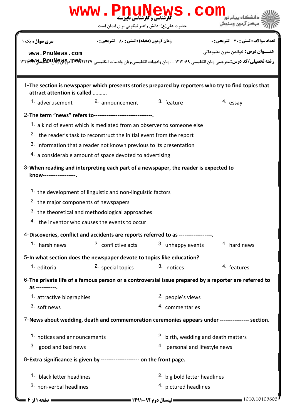|                                                  | www.PnuNews.co<br><b>کارشناسی و کارشناسی ناپیوسته</b>                                                 |                                                |                                                                                                                               |  |
|--------------------------------------------------|-------------------------------------------------------------------------------------------------------|------------------------------------------------|-------------------------------------------------------------------------------------------------------------------------------|--|
|                                                  | حضرت علی(ع): دانش راهبر نیکویی برای ایمان است                                                         |                                                | مركز آزمون وسنجش                                                                                                              |  |
| <b>سری سوال:</b> یک ۱                            | <b>زمان آزمون (دقیقه) : تستی : 80 ٪ تشریحی : 0</b>                                                    |                                                | <b>تعداد سوالات : تستی : 30 ٪ تشریحی : 0</b>                                                                                  |  |
| www.PnuNews.com                                  |                                                                                                       |                                                | <b>عنـــوان درس:</b> خواندن متون مطبوعاتي                                                                                     |  |
|                                                  |                                                                                                       |                                                | رشته تحصیلی/کد درس: مترجمی زبان انگلیسی ۱۲۱۲۰۶۹ - ،زبان وادبیات انگلیسی،زبان وادبیات انگلیسی <b>E30IUNG موB3IUNG موB3IUNG</b> |  |
| attract attention is called                      | 1-The section is newspaper which presents stories prepared by reporters who try to find topics that   |                                                |                                                                                                                               |  |
| 1. advertisement                                 | <sup>2.</sup> announcement                                                                            | 3. feature                                     | 4. essay                                                                                                                      |  |
|                                                  | 2-The term "news" refers to---------------------------------                                          |                                                |                                                                                                                               |  |
|                                                  | 1. a kind of event which is mediated from an observer to someone else                                 |                                                |                                                                                                                               |  |
|                                                  | <sup>2.</sup> the reader's task to reconstruct the initial event from the report                      |                                                |                                                                                                                               |  |
|                                                  | 3. information that a reader not known previous to its presentation                                   |                                                |                                                                                                                               |  |
|                                                  | 4. a considerable amount of space devoted to advertising                                              |                                                |                                                                                                                               |  |
| know------------------                           | 3-When reading and interpreting each part of a newspaper, the reader is expected to                   |                                                |                                                                                                                               |  |
|                                                  | <sup>1</sup> the development of linguistic and non-linguistic factors                                 |                                                |                                                                                                                               |  |
| <sup>2.</sup> the major components of newspapers |                                                                                                       |                                                |                                                                                                                               |  |
|                                                  | 3. the theoretical and methodological approaches                                                      |                                                |                                                                                                                               |  |
|                                                  | 4. the inventor who causes the events to occur                                                        |                                                |                                                                                                                               |  |
|                                                  | 4-Discoveries, conflict and accidents are reports referred to as ----------------                     |                                                |                                                                                                                               |  |
| 1. harsh news                                    | <sup>2.</sup> conflictive acts                                                                        | 3. unhappy events                              | 4. hard news                                                                                                                  |  |
|                                                  | 5-In what section does the newspaper devote to topics like education?                                 |                                                |                                                                                                                               |  |
| 1. editorial                                     | 2. special topics                                                                                     | 3. notices                                     | 4. features                                                                                                                   |  |
| as ------------.                                 | 6-The private life of a famous person or a controversial issue prepared by a reporter are referred to |                                                |                                                                                                                               |  |
|                                                  | 1. attractive biographies                                                                             |                                                | <sup>2.</sup> people's views                                                                                                  |  |
| 3. soft news                                     |                                                                                                       | 4. commentaries                                |                                                                                                                               |  |
|                                                  | 7-News about wedding, death and commemoration ceremonies appears under ---------------- section.      |                                                |                                                                                                                               |  |
| 1. notices and announcements                     |                                                                                                       | <sup>2.</sup> birth, wedding and death matters |                                                                                                                               |  |
| 3. good and bad news                             |                                                                                                       | 4. personal and lifestyle news                 |                                                                                                                               |  |
|                                                  | 8-Extra significance is given by --------------------- on the front page.                             |                                                |                                                                                                                               |  |
|                                                  | 1. black letter headlines                                                                             |                                                | <sup>2</sup> big bold letter headlines                                                                                        |  |
| 3. non-verbal headlines                          |                                                                                                       | 4. pictured headlines                          |                                                                                                                               |  |
|                                                  |                                                                                                       |                                                | = 1010/10109803                                                                                                               |  |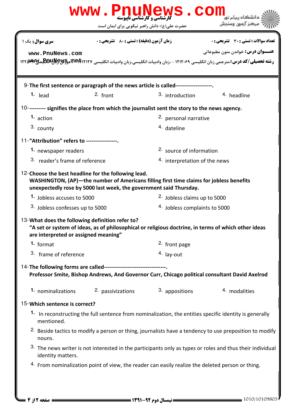|                                                                                                  | www.PnuNews.con                                                                                                                                                                                                      |                                         |                                                                                                                                                                                      |  |  |
|--------------------------------------------------------------------------------------------------|----------------------------------------------------------------------------------------------------------------------------------------------------------------------------------------------------------------------|-----------------------------------------|--------------------------------------------------------------------------------------------------------------------------------------------------------------------------------------|--|--|
|                                                                                                  | حضرت علی(ع): دانش راهبر نیکویی برای ایمان است                                                                                                                                                                        |                                         | مركز آزمون وسنجش                                                                                                                                                                     |  |  |
| <b>سری سوال :</b> یک ۱                                                                           | <b>زمان آزمون (دقیقه) : تستی : 80 ٪ تشریحی : 0</b>                                                                                                                                                                   |                                         | <b>تعداد سوالات : تستي : 30 ٪ تشريحي : 0</b>                                                                                                                                         |  |  |
| www.PnuNews.com                                                                                  |                                                                                                                                                                                                                      |                                         | <b>عنـــوان درس:</b> خواندن متون مطبوعاتي<br><b>رشته تحصیلی/کد درس:</b> مترجمی زبان انگلیسی ۱۲۱۲۰۶۹ - ،زبان وادبیات انگلیسی،زبان وادبیات انگلیسی <b>DE POR آمو£BOUN مو</b> 1۲۲ میتها |  |  |
| 9-The first sentence or paragraph of the news article is called------------------                |                                                                                                                                                                                                                      |                                         |                                                                                                                                                                                      |  |  |
| $1.$ lead                                                                                        | $2.$ front                                                                                                                                                                                                           | 3. introduction                         | 4. headline                                                                                                                                                                          |  |  |
|                                                                                                  | 10---------- signifies the place from which the journalist sent the story to the news agency.                                                                                                                        |                                         |                                                                                                                                                                                      |  |  |
| 1. action                                                                                        |                                                                                                                                                                                                                      | <sup>2.</sup> personal narrative        |                                                                                                                                                                                      |  |  |
| 3. county                                                                                        |                                                                                                                                                                                                                      | 4. dateline                             |                                                                                                                                                                                      |  |  |
| 11-"Attribution" refers to -----------------.                                                    |                                                                                                                                                                                                                      |                                         |                                                                                                                                                                                      |  |  |
| 1. newspaper readers                                                                             |                                                                                                                                                                                                                      | 2. source of information                |                                                                                                                                                                                      |  |  |
| 3. reader's frame of reference                                                                   |                                                                                                                                                                                                                      | 4. interpretation of the news           |                                                                                                                                                                                      |  |  |
|                                                                                                  | 12-Choose the best headline for the following lead.<br>WASHINGTON, (AP)-the number of Americans filling first time claims for jobless benefits<br>unexpectedly rose by 5000 last week, the government said Thursday. |                                         |                                                                                                                                                                                      |  |  |
| 1. Jobless accuses to 5000                                                                       |                                                                                                                                                                                                                      | <sup>2.</sup> Jobless claims up to 5000 |                                                                                                                                                                                      |  |  |
| 3. Jobless confesses up to 5000                                                                  |                                                                                                                                                                                                                      | 4. Jobless complaints to 5000           |                                                                                                                                                                                      |  |  |
| 13-What does the following definition refer to?<br>are interpreted or assigned meaning"          | "A set or system of ideas, as of philosophical or religious doctrine, in terms of which other ideas                                                                                                                  |                                         |                                                                                                                                                                                      |  |  |
| 1. format                                                                                        |                                                                                                                                                                                                                      | 2. front page                           |                                                                                                                                                                                      |  |  |
| 3. frame of reference                                                                            |                                                                                                                                                                                                                      | $4.$ lay-out                            |                                                                                                                                                                                      |  |  |
|                                                                                                  | 14-The following forms are called---------------------------------<br>Professor Smite, Bishop Andrews, And Governor Curr, Chicago political consultant David Axelrod                                                 |                                         |                                                                                                                                                                                      |  |  |
| 1. nominalizations                                                                               | 2. passivizations                                                                                                                                                                                                    | 3. appositions                          | 4. modalities                                                                                                                                                                        |  |  |
| 15-Which sentence is correct?                                                                    |                                                                                                                                                                                                                      |                                         |                                                                                                                                                                                      |  |  |
| mentioned.                                                                                       |                                                                                                                                                                                                                      |                                         | 1. In reconstructing the full sentence from nominalization, the entities specific identity is generally                                                                              |  |  |
| nouns.                                                                                           |                                                                                                                                                                                                                      |                                         | <sup>2.</sup> Beside tactics to modify a person or thing, journalists have a tendency to use preposition to modify                                                                   |  |  |
| identity matters.                                                                                |                                                                                                                                                                                                                      |                                         | 3. The news writer is not interested in the participants only as types or roles and thus their individual                                                                            |  |  |
| 4. From nominalization point of view, the reader can easily realize the deleted person or thing. |                                                                                                                                                                                                                      |                                         |                                                                                                                                                                                      |  |  |
|                                                                                                  |                                                                                                                                                                                                                      |                                         |                                                                                                                                                                                      |  |  |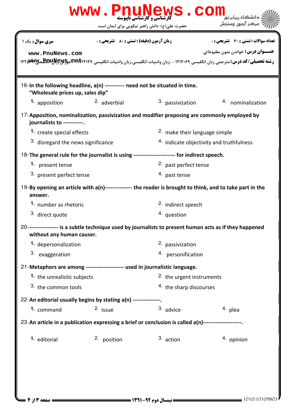|                                                                                                                  |                                                                                                     | WWW.PnuNews.Com                                                                                            | مركز آزمون وسنجش                                                                                                                   |  |  |  |
|------------------------------------------------------------------------------------------------------------------|-----------------------------------------------------------------------------------------------------|------------------------------------------------------------------------------------------------------------|------------------------------------------------------------------------------------------------------------------------------------|--|--|--|
|                                                                                                                  |                                                                                                     | حضرت علی(ع): دانش راهبر نیکویی برای ایمان است                                                              |                                                                                                                                    |  |  |  |
| سری سوال: یک ۱                                                                                                   | <b>زمان آزمون (دقیقه) : تستی : 80 ٪ تشریحی : 0</b>                                                  |                                                                                                            | تعداد سوالات : تستي : 30 ٪ تشريحي : 0                                                                                              |  |  |  |
| www.PnuNews.com                                                                                                  |                                                                                                     |                                                                                                            | <b>عنـــوان درس:</b> خواندن متون مطبوعاتي                                                                                          |  |  |  |
|                                                                                                                  |                                                                                                     |                                                                                                            | رشته تحصیلی/کد درس: مترجمی زبان انگلیسی ۱۲۱۲۰۶۹ - ،زبان وادبیات انگلیسی،زبان وادبیات انگلیسی <b>ECIRP آموECIR بهECIPS</b> های AT۲۵ |  |  |  |
|                                                                                                                  |                                                                                                     |                                                                                                            |                                                                                                                                    |  |  |  |
| 16-In the following headline, a(n) ----------- need not be situated in time.<br>"Wholesale prices up, sales dip" |                                                                                                     |                                                                                                            |                                                                                                                                    |  |  |  |
| 1. apposition                                                                                                    | $2.$ adverbial                                                                                      | 3. passivization                                                                                           | 4. nominalization                                                                                                                  |  |  |  |
| journalists to -----------.                                                                                      |                                                                                                     | 17-Apposition, nominalization, passivization and modifier preposing are commonly employed by               |                                                                                                                                    |  |  |  |
|                                                                                                                  | 1. create special effects                                                                           |                                                                                                            | 2. make their language simple                                                                                                      |  |  |  |
| 3. disregard the news significance                                                                               |                                                                                                     | 4. indicate objectivity and truthfulness                                                                   |                                                                                                                                    |  |  |  |
|                                                                                                                  |                                                                                                     | 18-The general rule for the journalist is using ------------------------ for indirect speech.              |                                                                                                                                    |  |  |  |
| 1. present tense                                                                                                 |                                                                                                     | 2. past perfect tense                                                                                      |                                                                                                                                    |  |  |  |
| 3. present perfect tense                                                                                         |                                                                                                     | 4. past tense                                                                                              |                                                                                                                                    |  |  |  |
| answer.                                                                                                          |                                                                                                     | 19-By opening an article with a(n)---------------- the reader is brought to think, and to take part in the |                                                                                                                                    |  |  |  |
| 1. number as rhetoric                                                                                            |                                                                                                     | <sup>2.</sup> indirect speech                                                                              |                                                                                                                                    |  |  |  |
| 3. direct quote                                                                                                  |                                                                                                     | 4. question                                                                                                |                                                                                                                                    |  |  |  |
| without any human causer.                                                                                        |                                                                                                     | 20----------------- is a subtle technique used by journalists to present human acts as if they happened    |                                                                                                                                    |  |  |  |
| 1. depersonalization                                                                                             |                                                                                                     | 2. passivization                                                                                           |                                                                                                                                    |  |  |  |
| 3. exaggeration                                                                                                  |                                                                                                     | 4. personification                                                                                         |                                                                                                                                    |  |  |  |
| 21-Metaphors are among --------------------- used in journalistic language.                                      |                                                                                                     |                                                                                                            |                                                                                                                                    |  |  |  |
| 1. the unrealistic subjects                                                                                      |                                                                                                     | 2. the urgent instruments                                                                                  |                                                                                                                                    |  |  |  |
| 3. the common tools                                                                                              |                                                                                                     |                                                                                                            | 4. the sharp discourses                                                                                                            |  |  |  |
| 22-An editorial usually begins by stating a(n) ---------------.                                                  |                                                                                                     |                                                                                                            |                                                                                                                                    |  |  |  |
| 1. command                                                                                                       | 2. issue                                                                                            | 3. advice                                                                                                  | 4. plea                                                                                                                            |  |  |  |
|                                                                                                                  | 23-An article in a publication expressing a brief or conclusion is called a(n)--------------------- |                                                                                                            |                                                                                                                                    |  |  |  |
| 1. editorial                                                                                                     | 2. position                                                                                         | 3. action                                                                                                  | 4. opinion                                                                                                                         |  |  |  |
|                                                                                                                  |                                                                                                     |                                                                                                            |                                                                                                                                    |  |  |  |
|                                                                                                                  |                                                                                                     |                                                                                                            |                                                                                                                                    |  |  |  |
|                                                                                                                  |                                                                                                     |                                                                                                            |                                                                                                                                    |  |  |  |